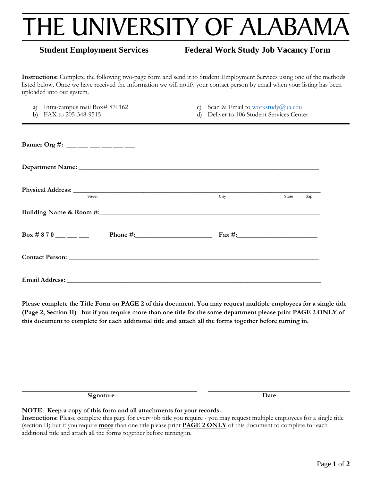# THE UNIVERSITY OF ALABAMA

## **Student Employment Services Federal Work Study Job Vacancy Form**

**Instructions:** Complete the following two-page form and send it to Student Employment Services using one of the methods listed below. Once we have received the information we will notify your contact person by email when your listing has been uploaded into our system.

| Intra-campus mail Box# 870162<br>a)<br>FAX to 205-348-9515<br>b) | Scan & Email to workstudy@ua.edu<br>$\mathbf{C}$<br>Deliver to 106 Student Services Center<br>d) |              |  |  |  |
|------------------------------------------------------------------|--------------------------------------------------------------------------------------------------|--------------|--|--|--|
| Banner Org #: __ __ __ __ __ __                                  |                                                                                                  |              |  |  |  |
|                                                                  |                                                                                                  |              |  |  |  |
| <b>Street</b>                                                    | City                                                                                             | State<br>Zip |  |  |  |
|                                                                  |                                                                                                  |              |  |  |  |
| $Box # 870$ _______                                              |                                                                                                  |              |  |  |  |
|                                                                  |                                                                                                  |              |  |  |  |
|                                                                  |                                                                                                  |              |  |  |  |

**Please complete the Title Form on PAGE 2 of this document. You may request multiple employees for a single title (Page 2, Section II) but if you require more than one title for the same department please print PAGE 2 ONLY of this document to complete for each additional title and attach all the forms together before turning in.**

**Signature Date**

#### **NOTE: Keep a copy of this form and all attachments for your records.**

**Instructions:** Please complete this page for every job title you require - you may request multiple employees for a single title (section II) but if you require **more** than one title please print **PAGE 2 ONLY** of this document to complete for each additional title and attach all the forms together before turning in.